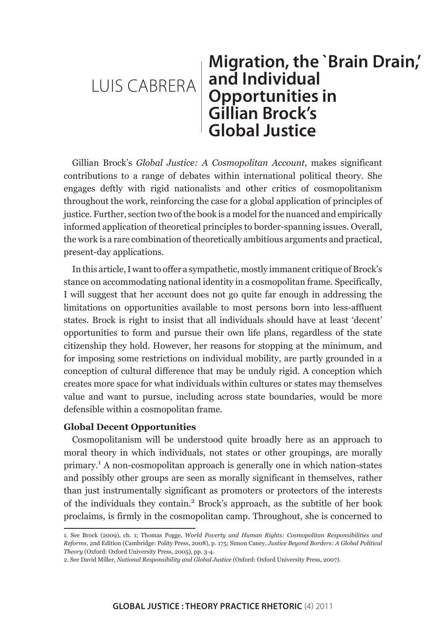# LUIS CABRERA **Migration, the `Brain Drain,' and Individual Opportunities in Gillian Brock's Global Justice**

Gillian Brock's *Global Justice: A Cosmopolitan Account*, makes significant contributions to a range of debates within international political theory. She engages deftly with rigid nationalists and other critics of cosmopolitanism throughout the work, reinforcing the case for a global application of principles of justice. Further, section two of the book is a model for the nuanced and empirically informed application of theoretical principles to border-spanning issues. Overall, the work is a rare combination of theoretically ambitious arguments and practical, present-day applications.

In this article, I want to offer a sympathetic, mostly immanent critique of Brock's stance on accommodating national identity in a cosmopolitan frame. Specifically, I will suggest that her account does not go quite far enough in addressing the limitations on opportunities available to most persons born into less-affluent states. Brock is right to insist that all individuals should have at least 'decent' opportunities to form and pursue their own life plans, regardless of the state citizenship they hold. However, her reasons for stopping at the minimum, and for imposing some restrictions on individual mobility, are partly grounded in a conception of cultural difference that may be unduly rigid. A conception which creates more space for what individuals within cultures or states may themselves value and want to pursue, including across state boundaries, would be more defensible within a cosmopolitan frame.

# **Global Decent Opportunities**

Cosmopolitanism will be understood quite broadly here as an approach to moral theory in which individuals, not states or other groupings, are morally primary.<sup>1</sup> A non-cosmopolitan approach is generally one in which nation-states and possibly other groups are seen as morally significant in themselves, rather than just instrumentally significant as promoters or protectors of the interests of the individuals they contain.<sup>2</sup> Brock's approach, as the subtitle of her book proclaims, is firmly in the cosmopolitan camp. Throughout, she is concerned to

<sup>1.</sup> See Brock (2009), ch. 1; Thomas Pogge, *World Poverty and Human Rights: Cosmopolitan Responsibilities and Reforms*, 2nd Edition (Cambridge: Polity Press, 2008), p. 175; Simon Caney, *Justice Beyond Borders: A Global Political Theory* (Oxford: Oxford University Press, 2005), pp. 3-4.

<sup>2.</sup> See David Miller, *National Responsibility and Global Justice* (Oxford: Oxford University Press, 2007).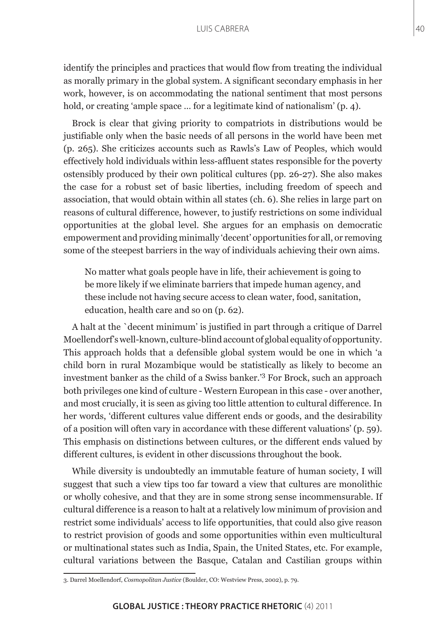identify the principles and practices that would flow from treating the individual as morally primary in the global system. A significant secondary emphasis in her work, however, is on accommodating the national sentiment that most persons hold, or creating 'ample space ... for a legitimate kind of nationalism' (p. 4).

Brock is clear that giving priority to compatriots in distributions would be justifiable only when the basic needs of all persons in the world have been met (p. 265). She criticizes accounts such as Rawls's Law of Peoples, which would effectively hold individuals within less-affluent states responsible for the poverty ostensibly produced by their own political cultures (pp. 26-27). She also makes the case for a robust set of basic liberties, including freedom of speech and association, that would obtain within all states (ch. 6). She relies in large part on reasons of cultural difference, however, to justify restrictions on some individual opportunities at the global level. She argues for an emphasis on democratic empowerment and providing minimally 'decent' opportunities for all, or removing some of the steepest barriers in the way of individuals achieving their own aims.

No matter what goals people have in life, their achievement is going to be more likely if we eliminate barriers that impede human agency, and these include not having secure access to clean water, food, sanitation, education, health care and so on (p. 62).

A halt at the `decent minimum' is justified in part through a critique of Darrel Moellendorf's well-known, culture-blind account of global equality of opportunity. This approach holds that a defensible global system would be one in which 'a child born in rural Mozambique would be statistically as likely to become an investment banker as the child of a Swiss banker.'3 For Brock, such an approach both privileges one kind of culture - Western European in this case - over another, and most crucially, it is seen as giving too little attention to cultural difference. In her words, 'different cultures value different ends or goods, and the desirability of a position will often vary in accordance with these different valuations' (p. 59). This emphasis on distinctions between cultures, or the different ends valued by different cultures, is evident in other discussions throughout the book.

While diversity is undoubtedly an immutable feature of human society, I will suggest that such a view tips too far toward a view that cultures are monolithic or wholly cohesive, and that they are in some strong sense incommensurable. If cultural difference is a reason to halt at a relatively low minimum of provision and restrict some individuals' access to life opportunities, that could also give reason to restrict provision of goods and some opportunities within even multicultural or multinational states such as India, Spain, the United States, etc. For example, cultural variations between the Basque, Catalan and Castilian groups within

<sup>3.</sup> Darrel Moellendorf, *Cosmopolitan Justice* (Boulder, CO: Westview Press, 2002), p. 79.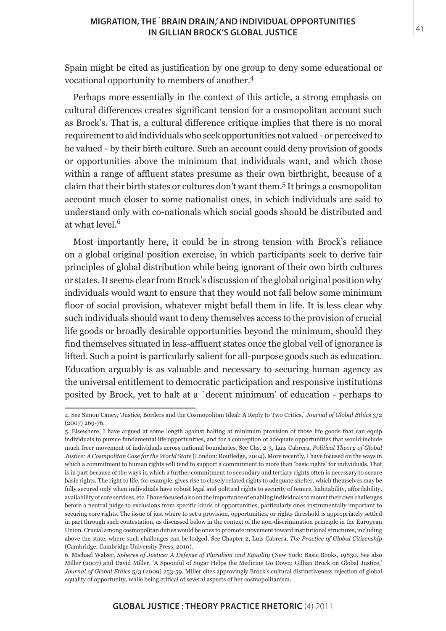Spain might be cited as justification by one group to deny some educational or vocational opportunity to members of another.<sup>4</sup>

Perhaps more essentially in the context of this article, a strong emphasis on cultural differences creates significant tension for a cosmopolitan account such as Brock's. That is, a cultural difference critique implies that there is no moral requirement to aid individuals who seek opportunities not valued - or perceived to be valued - by their birth culture. Such an account could deny provision of goods or opportunities above the minimum that individuals want, and which those within a range of affluent states presume as their own birthright, because of a claim that their birth states or cultures don't want them.<sup>5</sup> It brings a cosmopolitan account much closer to some nationalist ones, in which individuals are said to understand only with co-nationals which social goods should be distributed and at what level.<sup>6</sup>

Most importantly here, it could be in strong tension with Brock's reliance on a global original position exercise, in which participants seek to derive fair principles of global distribution while being ignorant of their own birth cultures or states. It seems clear from Brock's discussion of the global original position why individuals would want to ensure that they would not fall below some minimum floor of social provision, whatever might befall them in life. It is less clear why such individuals should want to deny themselves access to the provision of crucial life goods or broadly desirable opportunities beyond the minimum, should they find themselves situated in less-affluent states once the global veil of ignorance is lifted. Such a point is particularly salient for all-purpose goods such as education. Education arguably is as valuable and necessary to securing human agency as the universal entitlement to democratic participation and responsive institutions posited by Brock, yet to halt at a `decent minimum' of education - perhaps to

<sup>4.</sup> See Simon Caney, 'Justice, Borders and the Cosmopolitan Ideal: A Reply to Two Critics,' *Journal of Global Ethics* 3/2 (2007) 269-76.

<sup>5.</sup> Elsewhere, I have argued at some length against halting at minimum provision of those life goods that can equip individuals to pursue fundamental life opportunities, and for a conception of adequate opportunities that would include much freer movement of individuals across national boundaries. See Chs. 2-3, Luis Cabrera, *Political Theory of Global Justice: A Cosmpolitan Case for the World State* (London: Routledge, 2004). More recently, I have focused on the ways in which a commitment to human rights will tend to support a commitment to more than 'basic rights' for individuals. That is in part because of the ways in which a further commitment to secondary and tertiary rights often is necessary to secure basic rights. The right to life, for example, gives rise to closely related rights to adequate shelter, which themselves may be fully secured only when individuals have robust legal and political rights to security of tenure, habitability, affordability, availability of core services, etc. I have focused also on the importance of enabling individuals to mount their own challenges before a neutral judge to exclusions from specific kinds of opportunities, particularly ones instrumentally important to securing core rights. The issue of just where to set a provision, opportunities, or rights threshold is appropriately settled in part through such contestation, as discussed below in the context of the non-discrimination principle in the European Union. Crucial among cosmopolitan duties would be ones to promote movement toward institutional structures, including above the state, where such challenges can be lodged. See Chapter 2, Luis Cabrera, *The Practice of Global Citizenship*  (Cambridge: Cambridge University Press, 2010).

<sup>6.</sup> Michael Walzer, *Spheres of Justice: A Defense of Pluralism and Equality* (New York: Basic Books, 19830. See also Miller (2007) and David Miller, 'A Spoonful of Sugar Helps the Medicine Go Down: Gillian Brock on Global Justice,' *Journal of Global Ethics* 5/3 (2009) 253-59. Miller cites approvingly Brock's cultural distinctiveness rejection of global equality of opportunity, while being critical of several aspects of her cosmopolitanism.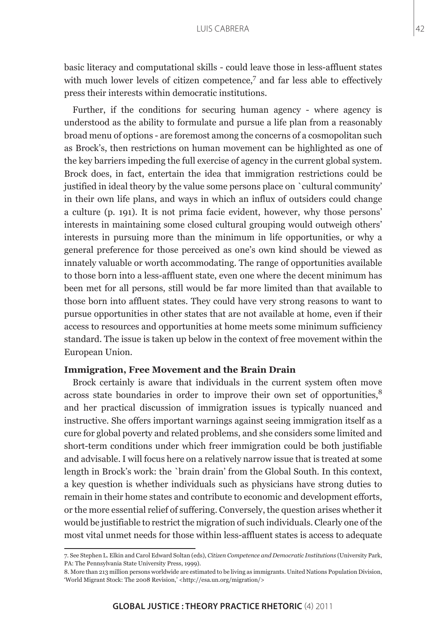basic literacy and computational skills - could leave those in less-affluent states with much lower levels of citizen competence, $^7$  and far less able to effectively press their interests within democratic institutions.

Further, if the conditions for securing human agency - where agency is understood as the ability to formulate and pursue a life plan from a reasonably broad menu of options - are foremost among the concerns of a cosmopolitan such as Brock's, then restrictions on human movement can be highlighted as one of the key barriers impeding the full exercise of agency in the current global system. Brock does, in fact, entertain the idea that immigration restrictions could be justified in ideal theory by the value some persons place on `cultural community' in their own life plans, and ways in which an influx of outsiders could change a culture (p. 191). It is not prima facie evident, however, why those persons' interests in maintaining some closed cultural grouping would outweigh others' interests in pursuing more than the minimum in life opportunities, or why a general preference for those perceived as one's own kind should be viewed as innately valuable or worth accommodating. The range of opportunities available to those born into a less-affluent state, even one where the decent minimum has been met for all persons, still would be far more limited than that available to those born into affluent states. They could have very strong reasons to want to pursue opportunities in other states that are not available at home, even if their access to resources and opportunities at home meets some minimum sufficiency standard. The issue is taken up below in the context of free movement within the European Union.

#### **Immigration, Free Movement and the Brain Drain**

Brock certainly is aware that individuals in the current system often move across state boundaries in order to improve their own set of opportunities,<sup>8</sup> and her practical discussion of immigration issues is typically nuanced and instructive. She offers important warnings against seeing immigration itself as a cure for global poverty and related problems, and she considers some limited and short-term conditions under which freer immigration could be both justifiable and advisable. I will focus here on a relatively narrow issue that is treated at some length in Brock's work: the `brain drain' from the Global South. In this context, a key question is whether individuals such as physicians have strong duties to remain in their home states and contribute to economic and development efforts, or the more essential relief of suffering. Conversely, the question arises whether it would be justifiable to restrict the migration of such individuals. Clearly one of the most vital unmet needs for those within less-affluent states is access to adequate

<sup>7.</sup> See Stephen L. Elkin and Carol Edward Soltan (eds), *Citizen Competence and Democratic Institutions* (University Park, PA: The Pennsylvania State University Press, 1999).

<sup>8.</sup> More than 213 million persons worldwide are estimated to be living as immigrants. United Nations Population Division, 'World Migrant Stock: The 2008 Revision,' <http://esa.un.org/migration/>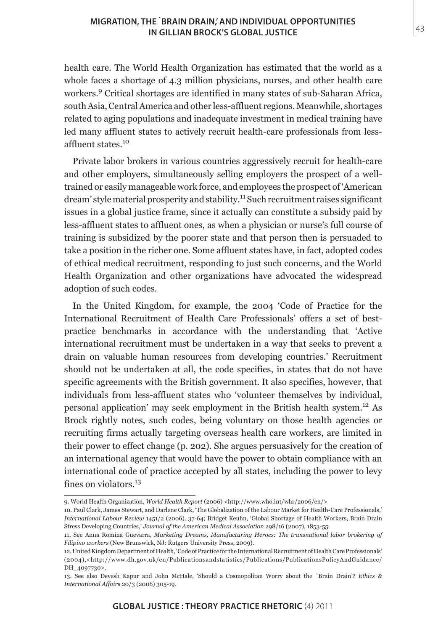health care. The World Health Organization has estimated that the world as a whole faces a shortage of 4.3 million physicians, nurses, and other health care workers.9 Critical shortages are identified in many states of sub-Saharan Africa, south Asia, Central America and other less-affluent regions. Meanwhile, shortages related to aging populations and inadequate investment in medical training have led many affluent states to actively recruit health-care professionals from lessaffluent states.<sup>10</sup>

Private labor brokers in various countries aggressively recruit for health-care and other employers, simultaneously selling employers the prospect of a welltrained or easily manageable work force, and employees the prospect of 'American dream' style material prosperity and stability.<sup>11</sup> Such recruitment raises significant issues in a global justice frame, since it actually can constitute a subsidy paid by less-affluent states to affluent ones, as when a physician or nurse's full course of training is subsidized by the poorer state and that person then is persuaded to take a position in the richer one. Some affluent states have, in fact, adopted codes of ethical medical recruitment, responding to just such concerns, and the World Health Organization and other organizations have advocated the widespread adoption of such codes.

In the United Kingdom, for example, the 2004 'Code of Practice for the International Recruitment of Health Care Professionals' offers a set of bestpractice benchmarks in accordance with the understanding that 'Active international recruitment must be undertaken in a way that seeks to prevent a drain on valuable human resources from developing countries.' Recruitment should not be undertaken at all, the code specifies, in states that do not have specific agreements with the British government. It also specifies, however, that individuals from less-affluent states who 'volunteer themselves by individual, personal application' may seek employment in the British health system.12 As Brock rightly notes, such codes, being voluntary on those health agencies or recruiting firms actually targeting overseas health care workers, are limited in their power to effect change (p. 202). She argues persuasively for the creation of an international agency that would have the power to obtain compliance with an international code of practice accepted by all states, including the power to levy fines on violators.<sup>13</sup>

<sup>9.</sup> World Health Organization, *World Health Report* (2006) <http://www.who.int/whr/2006/en/>

<sup>10.</sup> Paul Clark, James Stewart, and Darlene Clark, 'The Globalization of the Labour Market for Health-Care Professionals,' *International Labour Review* 1451/2 (2006), 37-64; Bridget Keuhn, 'Global Shortage of Health Workers, Brain Drain Stress Developing Countries,' *Journal of the American Medical Association* 298/16 (2007), 1853-55.

<sup>11.</sup> See Anna Romina Guevarra, *Marketing Dreams, Manufacturing Heroes: The transnational labor brokering of Filipino workers* (New Brunswick, NJ: Rutgers University Press, 2009).

<sup>12.</sup> United Kingdom Department of Health, 'Code of Practice for the International Recruitment of Health Care Professionals' (2004),<http://www.dh.gov.uk/en/Publicationsandstatistics/Publications/PublicationsPolicyAndGuidance/ DH\_4097730>.

<sup>13.</sup> See also Devesh Kapur and John McHale, 'Should a Cosmopolitan Worry about the `Brain Drain'? *Ethics & International Affairs* 20/3 (2006) 305-19.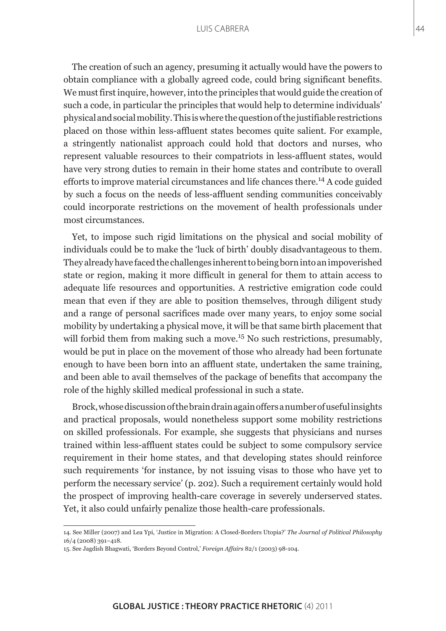The creation of such an agency, presuming it actually would have the powers to obtain compliance with a globally agreed code, could bring significant benefits. We must first inquire, however, into the principles that would guide the creation of such a code, in particular the principles that would help to determine individuals' physical and social mobility. This is where the question of the justifiable restrictions placed on those within less-affluent states becomes quite salient. For example, a stringently nationalist approach could hold that doctors and nurses, who represent valuable resources to their compatriots in less-affluent states, would have very strong duties to remain in their home states and contribute to overall efforts to improve material circumstances and life chances there.<sup>14</sup> A code guided by such a focus on the needs of less-affluent sending communities conceivably could incorporate restrictions on the movement of health professionals under most circumstances.

Yet, to impose such rigid limitations on the physical and social mobility of individuals could be to make the 'luck of birth' doubly disadvantageous to them. They already have faced the challenges inherent to being born into an impoverished state or region, making it more difficult in general for them to attain access to adequate life resources and opportunities. A restrictive emigration code could mean that even if they are able to position themselves, through diligent study and a range of personal sacrifices made over many years, to enjoy some social mobility by undertaking a physical move, it will be that same birth placement that will forbid them from making such a move.<sup>15</sup> No such restrictions, presumably, would be put in place on the movement of those who already had been fortunate enough to have been born into an affluent state, undertaken the same training, and been able to avail themselves of the package of benefits that accompany the role of the highly skilled medical professional in such a state.

Brock, whose discussion of the brain drain again offers a number of useful insights and practical proposals, would nonetheless support some mobility restrictions on skilled professionals. For example, she suggests that physicians and nurses trained within less-affluent states could be subject to some compulsory service requirement in their home states, and that developing states should reinforce such requirements 'for instance, by not issuing visas to those who have yet to perform the necessary service' (p. 202). Such a requirement certainly would hold the prospect of improving health-care coverage in severely underserved states. Yet, it also could unfairly penalize those health-care professionals.

44

<sup>14.</sup> See Miller (2007) and Lea Ypi, 'Justice in Migration: A Closed-Borders Utopia?' *The Journal of Political Philosophy* 16/4 (2008) 391–418.

<sup>15.</sup> See Jagdish Bhagwati, 'Borders Beyond Control,' *Foreign Affairs* 82/1 (2003) 98-104.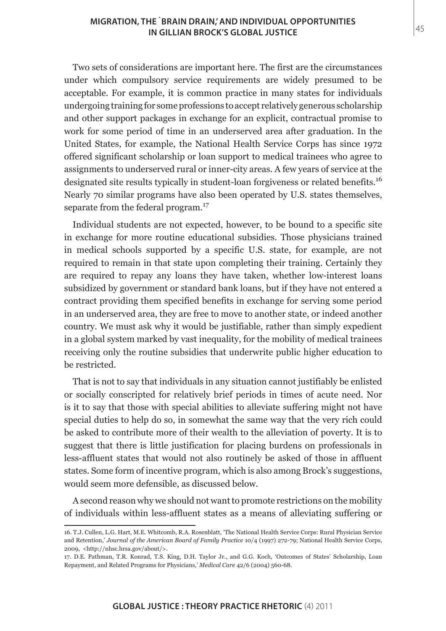Two sets of considerations are important here. The first are the circumstances under which compulsory service requirements are widely presumed to be acceptable. For example, it is common practice in many states for individuals undergoing training for some professions to accept relatively generous scholarship and other support packages in exchange for an explicit, contractual promise to work for some period of time in an underserved area after graduation. In the United States, for example, the National Health Service Corps has since 1972 offered significant scholarship or loan support to medical trainees who agree to assignments to underserved rural or inner-city areas. A few years of service at the designated site results typically in student-loan forgiveness or related benefits.<sup>16</sup> Nearly 70 similar programs have also been operated by U.S. states themselves, separate from the federal program.<sup>17</sup>

Individual students are not expected, however, to be bound to a specific site in exchange for more routine educational subsidies. Those physicians trained in medical schools supported by a specific U.S. state, for example, are not required to remain in that state upon completing their training. Certainly they are required to repay any loans they have taken, whether low-interest loans subsidized by government or standard bank loans, but if they have not entered a contract providing them specified benefits in exchange for serving some period in an underserved area, they are free to move to another state, or indeed another country. We must ask why it would be justifiable, rather than simply expedient in a global system marked by vast inequality, for the mobility of medical trainees receiving only the routine subsidies that underwrite public higher education to be restricted.

That is not to say that individuals in any situation cannot justifiably be enlisted or socially conscripted for relatively brief periods in times of acute need. Nor is it to say that those with special abilities to alleviate suffering might not have special duties to help do so, in somewhat the same way that the very rich could be asked to contribute more of their wealth to the alleviation of poverty. It is to suggest that there is little justification for placing burdens on professionals in less-affluent states that would not also routinely be asked of those in affluent states. Some form of incentive program, which is also among Brock's suggestions, would seem more defensible, as discussed below.

A second reason why we should not want to promote restrictions on the mobility of individuals within less-affluent states as a means of alleviating suffering or

<sup>16.</sup> T.J. Cullen, L.G. Hart, M.E. Whitcomb, R.A. Rosenblatt, 'The National Health Service Corps: Rural Physician Service and Retention,' *Journal of the American Board of Family Practice* 10/4 (1997) 272-79; National Health Service Corps, 2009, <http://nhsc.hrsa.gov/about/>.

<sup>17.</sup> D.E. Pathman, T.R. Konrad, T.S. King, D.H. Taylor Jr., and G.G. Koch, 'Outcomes of States' Scholarship, Loan Repayment, and Related Programs for Physicians,' *Medical Care* 42/6 (2004) 560-68.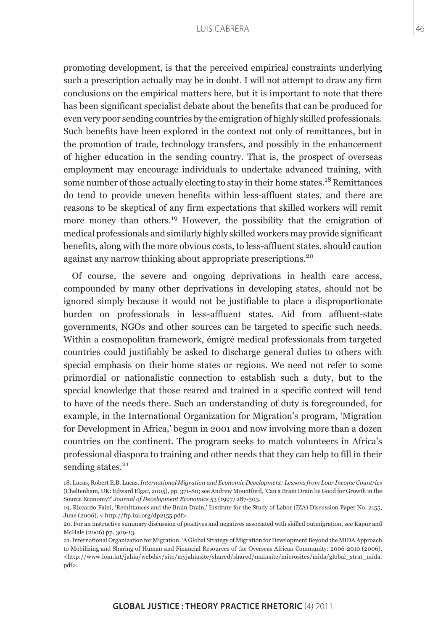promoting development, is that the perceived empirical constraints underlying such a prescription actually may be in doubt. I will not attempt to draw any firm conclusions on the empirical matters here, but it is important to note that there has been significant specialist debate about the benefits that can be produced for even very poor sending countries by the emigration of highly skilled professionals. Such benefits have been explored in the context not only of remittances, but in the promotion of trade, technology transfers, and possibly in the enhancement of higher education in the sending country. That is, the prospect of overseas employment may encourage individuals to undertake advanced training, with some number of those actually electing to stay in their home states.<sup>18</sup> Remittances do tend to provide uneven benefits within less-affluent states, and there are reasons to be skeptical of any firm expectations that skilled workers will remit more money than others.<sup>19</sup> However, the possibility that the emigration of medical professionals and similarly highly skilled workers may provide significant benefits, along with the more obvious costs, to less-affluent states, should caution against any narrow thinking about appropriate prescriptions.<sup>20</sup>

Of course, the severe and ongoing deprivations in health care access, compounded by many other deprivations in developing states, should not be ignored simply because it would not be justifiable to place a disproportionate burden on professionals in less-affluent states. Aid from affluent-state governments, NGOs and other sources can be targeted to specific such needs. Within a cosmopolitan framework, émigré medical professionals from targeted countries could justifiably be asked to discharge general duties to others with special emphasis on their home states or regions. We need not refer to some primordial or nationalistic connection to establish such a duty, but to the special knowledge that those reared and trained in a specific context will tend to have of the needs there. Such an understanding of duty is foregrounded, for example, in the International Organization for Migration's program, 'Migration for Development in Africa,' begun in 2001 and now involving more than a dozen countries on the continent. The program seeks to match volunteers in Africa's professional diaspora to training and other needs that they can help to fill in their sending states.<sup>21</sup>

46

<sup>18.</sup> Lucas, Robert E.B. Lucas, *International Migration and Economic Development: Lessons from Low-Income Countries*  (Cheltenham, UK: Edward Elgar, 2005), pp. 371-80; see Andrew Mountford, 'Can a Brain Drain be Good for Growth in the Source Economy?' *Journal of Development Economics* 53 (1997) 287-303.

<sup>19.</sup> Riccardo Faini, 'Remittances and the Brain Drain,' Institute for the Study of Labor (IZA) Discussion Paper No. 2155, June (2006), < http://ftp.iza.org/dp2155.pdf>.

<sup>20.</sup> For an instructive summary discussion of positives and negatives associated with skilled outmigration, see Kapur and McHale (2006) pp. 309-13.

<sup>21.</sup> International Organization for Migration, 'A Global Strategy of Migration for Development Beyond the MIDA Approach to Mobilizing and Sharing of Human and Financial Resources of the Overseas African Community: 2006-2010 (2006),  $\text{thtn:}/\text{www.iom.int/iahia/webday/site/mviahiasite/shared/shared/mainsite/microsites/mida/global strat mida.}$ pdf>.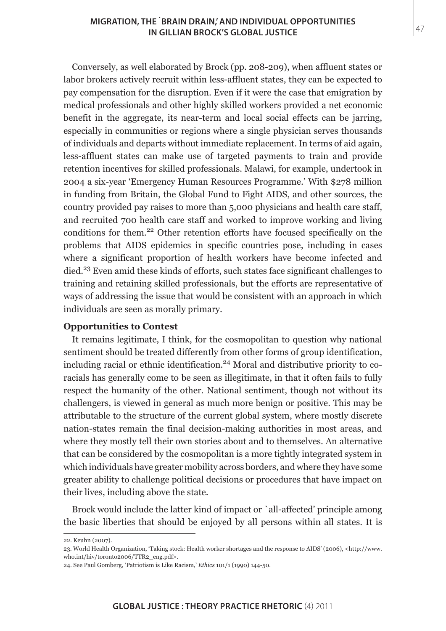Conversely, as well elaborated by Brock (pp. 208-209), when affluent states or labor brokers actively recruit within less-affluent states, they can be expected to pay compensation for the disruption. Even if it were the case that emigration by medical professionals and other highly skilled workers provided a net economic benefit in the aggregate, its near-term and local social effects can be jarring, especially in communities or regions where a single physician serves thousands of individuals and departs without immediate replacement. In terms of aid again, less-affluent states can make use of targeted payments to train and provide retention incentives for skilled professionals. Malawi, for example, undertook in 2004 a six-year 'Emergency Human Resources Programme.' With \$278 million in funding from Britain, the Global Fund to Fight AIDS, and other sources, the country provided pay raises to more than 5,000 physicians and health care staff, and recruited 700 health care staff and worked to improve working and living conditions for them.22 Other retention efforts have focused specifically on the problems that AIDS epidemics in specific countries pose, including in cases where a significant proportion of health workers have become infected and died.<sup>23</sup> Even amid these kinds of efforts, such states face significant challenges to training and retaining skilled professionals, but the efforts are representative of ways of addressing the issue that would be consistent with an approach in which individuals are seen as morally primary.

# **Opportunities to Contest**

It remains legitimate, I think, for the cosmopolitan to question why national sentiment should be treated differently from other forms of group identification, including racial or ethnic identification.<sup>24</sup> Moral and distributive priority to  $co$ racials has generally come to be seen as illegitimate, in that it often fails to fully respect the humanity of the other. National sentiment, though not without its challengers, is viewed in general as much more benign or positive. This may be attributable to the structure of the current global system, where mostly discrete nation-states remain the final decision-making authorities in most areas, and where they mostly tell their own stories about and to themselves. An alternative that can be considered by the cosmopolitan is a more tightly integrated system in which individuals have greater mobility across borders, and where they have some greater ability to challenge political decisions or procedures that have impact on their lives, including above the state.

Brock would include the latter kind of impact or `all-affected' principle among the basic liberties that should be enjoyed by all persons within all states. It is

<sup>22.</sup> Keuhn (2007).

<sup>23.</sup> World Health Organization, 'Taking stock: Health worker shortages and the response to AIDS' (2006), <http://www. who.int/hiv/toronto2006/TTR2\_eng.pdf>.

<sup>24.</sup> See Paul Gomberg, 'Patriotism is Like Racism,' *Ethics* 101/1 (1990) 144-50.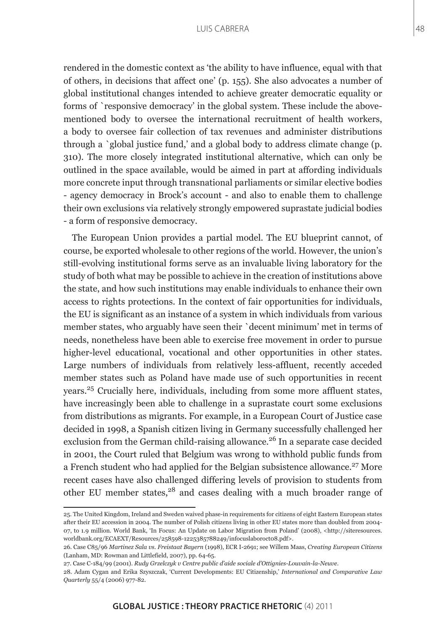rendered in the domestic context as 'the ability to have influence, equal with that of others, in decisions that affect one' (p. 155). She also advocates a number of global institutional changes intended to achieve greater democratic equality or forms of `responsive democracy' in the global system. These include the abovementioned body to oversee the international recruitment of health workers, a body to oversee fair collection of tax revenues and administer distributions through a `global justice fund,' and a global body to address climate change (p. 310). The more closely integrated institutional alternative, which can only be outlined in the space available, would be aimed in part at affording individuals more concrete input through transnational parliaments or similar elective bodies - agency democracy in Brock's account - and also to enable them to challenge their own exclusions via relatively strongly empowered suprastate judicial bodies - a form of responsive democracy.

The European Union provides a partial model. The EU blueprint cannot, of course, be exported wholesale to other regions of the world. However, the union's still-evolving institutional forms serve as an invaluable living laboratory for the study of both what may be possible to achieve in the creation of institutions above the state, and how such institutions may enable individuals to enhance their own access to rights protections. In the context of fair opportunities for individuals, the EU is significant as an instance of a system in which individuals from various member states, who arguably have seen their `decent minimum' met in terms of needs, nonetheless have been able to exercise free movement in order to pursue higher-level educational, vocational and other opportunities in other states. Large numbers of individuals from relatively less-affluent, recently acceded member states such as Poland have made use of such opportunities in recent years.25 Crucially here, individuals, including from some more affluent states, have increasingly been able to challenge in a suprastate court some exclusions from distributions as migrants. For example, in a European Court of Justice case decided in 1998, a Spanish citizen living in Germany successfully challenged her exclusion from the German child-raising allowance.<sup>26</sup> In a separate case decided in 2001, the Court ruled that Belgium was wrong to withhold public funds from a French student who had applied for the Belgian subsistence allowance.<sup>27</sup> More recent cases have also challenged differing levels of provision to students from other EU member states,<sup>28</sup> and cases dealing with a much broader range of

<sup>25.</sup> The United Kingdom, Ireland and Sweden waived phase-in requirements for citizens of eight Eastern European states after their EU accession in 2004. The number of Polish citizens living in other EU states more than doubled from 2004- 07, to 1.9 million. World Bank, 'In Focus: An Update on Labor Migration from Poland' (2008), <http://siteresources. worldbank.org/ECAEXT/Resources/258598-1225385788249/infocuslaboroct08.pdf>.

<sup>26.</sup> Case C85/96 *Martinez Sala vs. Freistaat Bayern* (1998), ECR I-2691; see Willem Maas, *Creating European Citizens* (Lanham, MD: Rowman and Littlefield, 2007), pp. 64-65.

<sup>27.</sup> Case C-184/99 (2001). *Rudy Grzelczyk v Centre public d'aide sociale d'Ottignies-Louvain-la-Neuve*.

<sup>28.</sup> Adam Cygan and Erika Szyszczak, 'Current Developments: EU Citizenship,' *International and Comparative Law Quarterly* 55/4 (2006) 977-82.